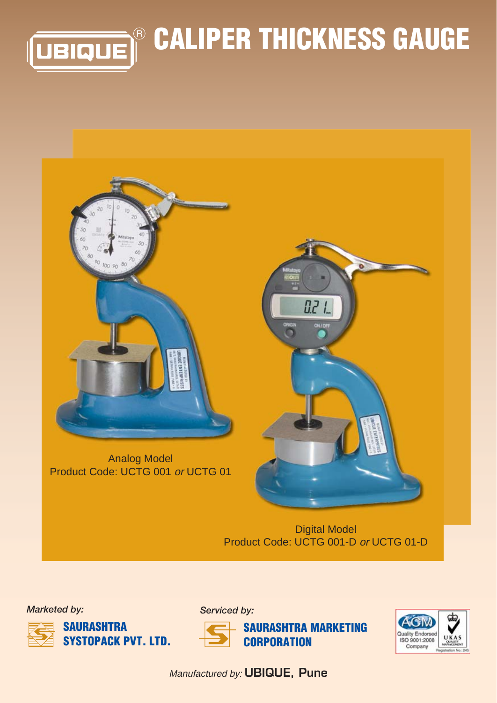



Digital Model Product Code: UCTG 001-D or UCTG 01-D



*Serviced by:*



**SAURASHTRA MARKETING CORPORATION**



Manufactured by: **UBIQUE, Pune**